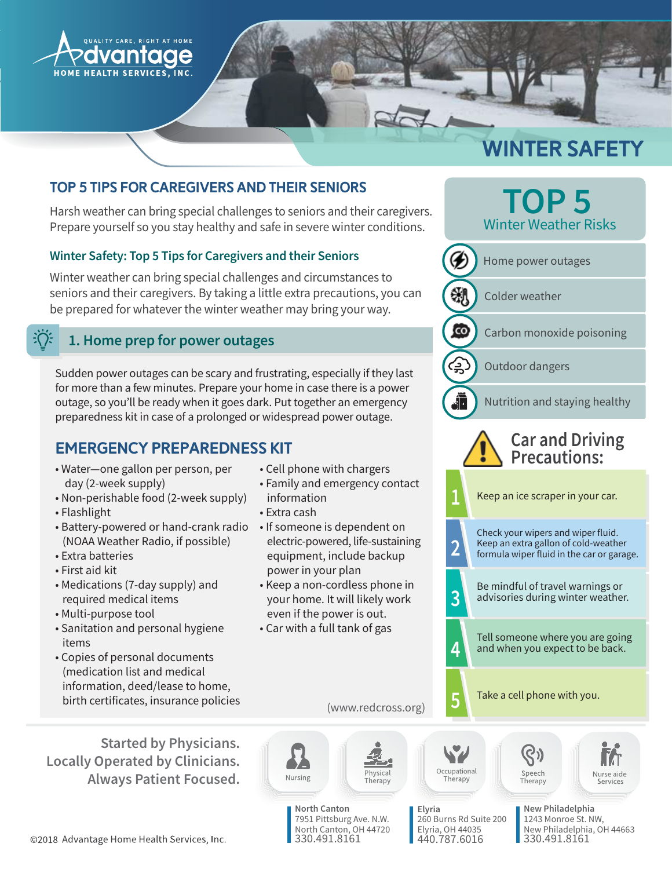

# WINTER SAFETY

# Top 5 Tips for Caregivers and their Seniors

Harsh weather can bring special challenges to seniors and their caregivers. Prepare yourself so you stay healthy and safe in severe winter conditions.

## Winter Safety: Top 5 Tips for Caregivers and their Seniors

Winter weather can bring special challenges and circumstances to seniors and their caregivers. By taking a little extra precautions, you can be prepared for whatever the winter weather may bring your way.

#### $\frac{1}{2} \sum_{i=1}^{n}$ 1. Home prep for power outages

Sudden power outages can be scary and frustrating, especially if they last for more than a few minutes. Prepare your home in case there is a power outage, so you'll be ready when it goes dark. Put together an emergency preparedness kit in case of a prolonged or widespread power outage.

# Emergency Preparedness Kit

- · Water-one gallon per person, per day (2-week supply)
- Non-perishable food (2-week supply)
- Flashlight
- Battery-powered or hand-crank radio (NOAA Weather Radio, if possible)
- Extra batteries
- First aid kit
- Medications (7-day supply) and required medical items
- Multi-purpose tool
- Sanitation and personal hygiene items
- Copies of personal documents (medication list and medical information, deed/lease to home, birth certificates, insurance policies

**Started by Physicians. Locally Operated by Clinicians. Always Patient Focused.** 

- Cell phone with chargers
- Family and emergency contact information
- Extra cash
- If someone is dependent on electric-powered, life-sustaining equipment, include backup power in your plan
- Keep a non-cordless phone in your home. It will likely work even if the power is out.
- Car with a full tank of gas





Nursing

hysical

Therapy

Elyria 260 Burns Rd Suite 200 Elyria, OH 44035 440.787.6016

New Philadelphia 1243 Monroe St. NW, New Philadelphia, OH 44663 330.491.816<mark>1</mark>

©2018 Advantage Home Health Services, Inc.